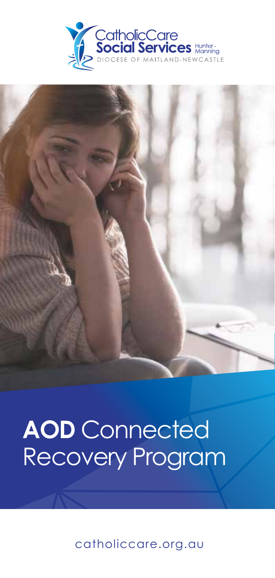



# **AOD** Connected Recovery Program

catholiccare.org.au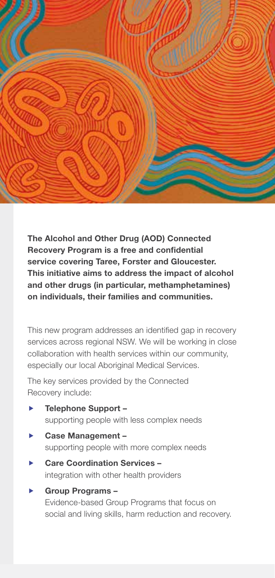

The Alcohol and Other Drug (AOD) Connected Recovery Program is a free and confidential service covering Taree, Forster and Gloucester. This initiative aims to address the impact of alcohol and other drugs (in particular, methamphetamines) on individuals, their families and communities.

This new program addresses an identified gap in recovery services across regional NSW. We will be working in close collaboration with health services within our community, especially our local Aboriginal Medical Services.

The key services provided by the Connected Recovery include:

- $\blacktriangleright$  Telephone Support supporting people with less complex needs
- $\blacktriangleright$  Case Management supporting people with more complex needs
- Care Coordination Services integration with other health providers
- Group Programs -Evidence-based Group Programs that focus on social and living skills, harm reduction and recovery.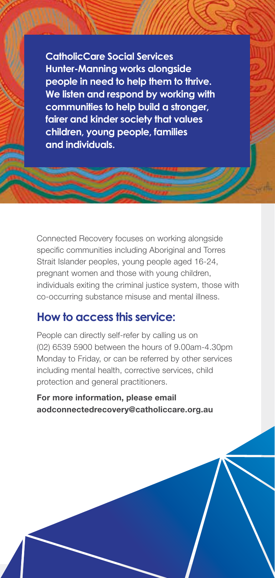**CatholicCare Social Services Hunter-Manning works alongside people in need to help them to thrive. We listen and respond by working with communities to help build a stronger, fairer and kinder society that values children, young people, families and individuals.** 

Connected Recovery focuses on working alongside specific communities including Aboriginal and Torres Strait Islander peoples, young people aged 16-24, pregnant women and those with young children, individuals exiting the criminal justice system, those with co-occurring substance misuse and mental illness.

## **How to access this service:**

People can directly self-refer by calling us on (02) 6539 5900 between the hours of 9.00am-4.30pm Monday to Friday, or can be referred by other services including mental health, corrective services, child protection and general practitioners.

For more information, please email aodconnectedrecovery@catholiccare.org.au